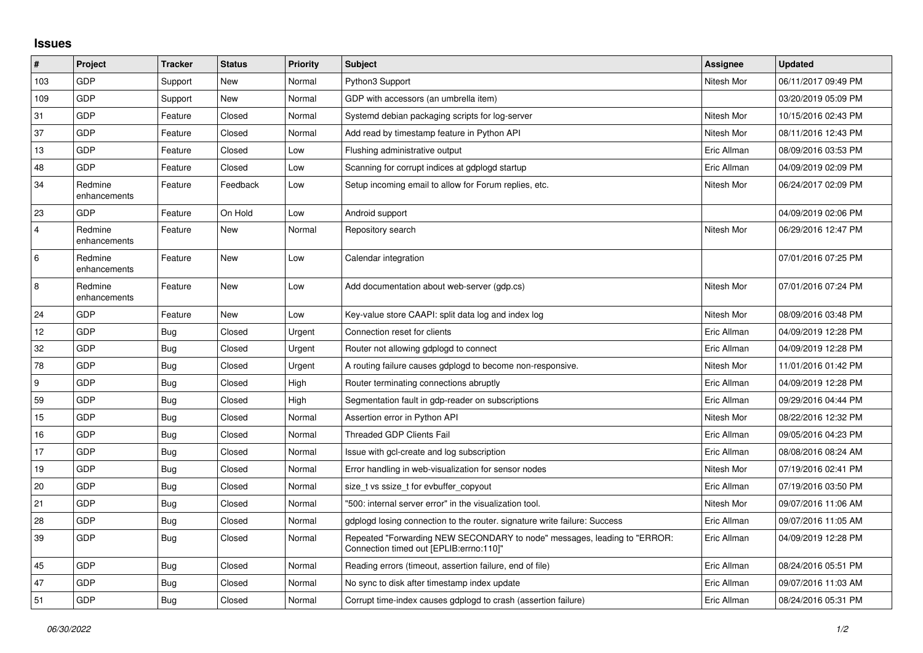## **Issues**

| $\vert$ #      | Project                 | <b>Tracker</b> | <b>Status</b> | <b>Priority</b> | <b>Subject</b>                                                                                                      | Assignee    | <b>Updated</b>      |
|----------------|-------------------------|----------------|---------------|-----------------|---------------------------------------------------------------------------------------------------------------------|-------------|---------------------|
| 103            | GDP                     | Support        | New           | Normal          | Python3 Support                                                                                                     | Nitesh Mor  | 06/11/2017 09:49 PM |
| 109            | GDP                     | Support        | New           | Normal          | GDP with accessors (an umbrella item)                                                                               |             | 03/20/2019 05:09 PM |
| 31             | <b>GDP</b>              | Feature        | Closed        | Normal          | Systemd debian packaging scripts for log-server                                                                     | Nitesh Mor  | 10/15/2016 02:43 PM |
| 37             | GDP                     | Feature        | Closed        | Normal          | Add read by timestamp feature in Python API                                                                         | Nitesh Mor  | 08/11/2016 12:43 PM |
| 13             | GDP                     | Feature        | Closed        | Low             | Flushing administrative output                                                                                      | Eric Allman | 08/09/2016 03:53 PM |
| 48             | GDP                     | Feature        | Closed        | Low             | Scanning for corrupt indices at gdplogd startup                                                                     | Eric Allman | 04/09/2019 02:09 PM |
| 34             | Redmine<br>enhancements | Feature        | Feedback      | Low             | Setup incoming email to allow for Forum replies, etc.                                                               | Nitesh Mor  | 06/24/2017 02:09 PM |
| 23             | <b>GDP</b>              | Feature        | On Hold       | Low             | Android support                                                                                                     |             | 04/09/2019 02:06 PM |
| $\overline{4}$ | Redmine<br>enhancements | Feature        | New           | Normal          | Repository search                                                                                                   | Nitesh Mor  | 06/29/2016 12:47 PM |
| 6              | Redmine<br>enhancements | Feature        | New           | Low             | Calendar integration                                                                                                |             | 07/01/2016 07:25 PM |
| 8              | Redmine<br>enhancements | Feature        | New           | Low             | Add documentation about web-server (gdp.cs)                                                                         | Nitesh Mor  | 07/01/2016 07:24 PM |
| 24             | GDP                     | Feature        | New           | Low             | Key-value store CAAPI: split data log and index log                                                                 | Nitesh Mor  | 08/09/2016 03:48 PM |
| 12             | GDP                     | Bug            | Closed        | Urgent          | Connection reset for clients                                                                                        | Eric Allman | 04/09/2019 12:28 PM |
| 32             | <b>GDP</b>              | Bug            | Closed        | Urgent          | Router not allowing gdplogd to connect                                                                              | Eric Allman | 04/09/2019 12:28 PM |
| 78             | GDP                     | <b>Bug</b>     | Closed        | Urgent          | A routing failure causes gdplogd to become non-responsive.                                                          | Nitesh Mor  | 11/01/2016 01:42 PM |
| 9              | <b>GDP</b>              | <b>Bug</b>     | Closed        | High            | Router terminating connections abruptly                                                                             | Eric Allman | 04/09/2019 12:28 PM |
| 59             | GDP                     | <b>Bug</b>     | Closed        | High            | Segmentation fault in gdp-reader on subscriptions                                                                   | Eric Allman | 09/29/2016 04:44 PM |
| 15             | GDP                     | Bug            | Closed        | Normal          | Assertion error in Python API                                                                                       | Nitesh Mor  | 08/22/2016 12:32 PM |
| 16             | <b>GDP</b>              | Bug            | Closed        | Normal          | <b>Threaded GDP Clients Fail</b>                                                                                    | Eric Allman | 09/05/2016 04:23 PM |
| 17             | GDP                     | <b>Bug</b>     | Closed        | Normal          | Issue with gcl-create and log subscription                                                                          | Eric Allman | 08/08/2016 08:24 AM |
| 19             | GDP                     | Bug            | Closed        | Normal          | Error handling in web-visualization for sensor nodes                                                                | Nitesh Mor  | 07/19/2016 02:41 PM |
| 20             | <b>GDP</b>              | Bug            | Closed        | Normal          | size t vs ssize t for evbuffer copyout                                                                              | Eric Allman | 07/19/2016 03:50 PM |
| 21             | GDP                     | <b>Bug</b>     | Closed        | Normal          | "500: internal server error" in the visualization tool.                                                             | Nitesh Mor  | 09/07/2016 11:06 AM |
| 28             | GDP                     | Bug            | Closed        | Normal          | gdplogd losing connection to the router, signature write failure: Success                                           | Eric Allman | 09/07/2016 11:05 AM |
| 39             | <b>GDP</b>              | Bug            | Closed        | Normal          | Repeated "Forwarding NEW SECONDARY to node" messages, leading to "ERROR:<br>Connection timed out [EPLIB:errno:110]" | Eric Allman | 04/09/2019 12:28 PM |
| 45             | GDP                     | <b>Bug</b>     | Closed        | Normal          | Reading errors (timeout, assertion failure, end of file)                                                            | Eric Allman | 08/24/2016 05:51 PM |
| 47             | GDP                     | Bug            | Closed        | Normal          | No sync to disk after timestamp index update                                                                        | Eric Allman | 09/07/2016 11:03 AM |
| 51             | <b>GDP</b>              | Bug            | Closed        | Normal          | Corrupt time-index causes gdplogd to crash (assertion failure)                                                      | Eric Allman | 08/24/2016 05:31 PM |